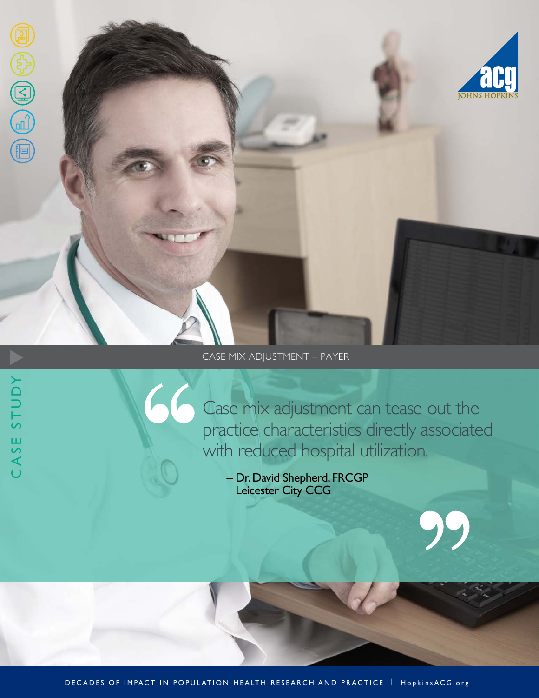

# CASE MIX ADJUSTMENT – PAYER

CASE STUDY

Case mix adjustment can tease out the practice characteristics directly associated with reduced hospital utilization.

– Dr. David Shepherd, FRCGP Leicester City CCG

DECADES OF IMPACT IN POPULATION HEALTH RESEARCH AND PRACTICE | HopkinsACG.org